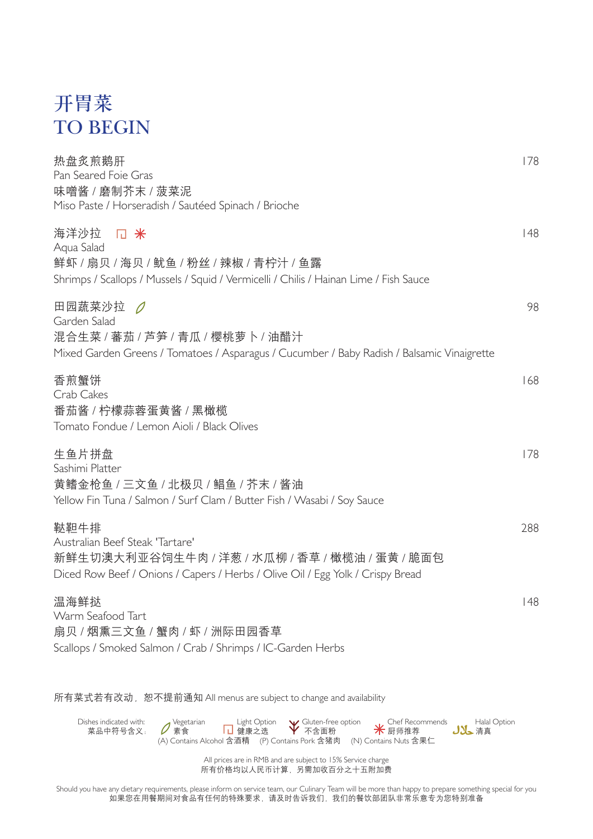## 开胃菜 TO BEGIN

| 热盘炙煎鹅肝<br>Pan Seared Foie Gras<br>味噌酱 / 磨制芥末 / 菠菜泥<br>Miso Paste / Horseradish / Sautéed Spinach / Brioche                                                                  | 178 |
|-----------------------------------------------------------------------------------------------------------------------------------------------------------------------------|-----|
| 海洋沙拉<br>□ 米<br>Aqua Salad<br>鲜虾 / 扇贝 / 海贝 / 鱿鱼 / 粉丝 / 辣椒 / 青柠汁 / 鱼露<br>Shrimps / Scallops / Mussels / Squid / Vermicelli / Chilis / Hainan Lime / Fish Sauce                | 148 |
| Garden Salad<br>混合生菜 / 蕃茄 / 芦笋 / 青瓜 / 樱桃萝卜 / 油醋汁<br>Mixed Garden Greens / Tomatoes / Asparagus / Cucumber / Baby Radish / Balsamic Vinaigrette                              | 98  |
| 香煎蟹饼<br>Crab Cakes<br>番茄酱 / 柠檬蒜蓉蛋黄酱 / 黑橄榄<br>Tomato Fondue / Lemon Aioli / Black Olives                                                                                     | 168 |
| 生鱼片拼盘<br>Sashimi Platter<br>黄鳍金枪鱼 / 三文鱼 / 北极贝 / 鲳鱼 / 芥末 / 酱油<br>Yellow Fin Tuna / Salmon / Surf Clam / Butter Fish / Wasabi / Soy Sauce                                     | 178 |
| 鞑靼牛排<br>Australian Beef Steak 'Tartare'<br>新鲜生切澳大利亚谷饲生牛肉 / 洋葱 / 水瓜柳 / 香草 / 橄榄油 / 蛋黄 / 脆面包<br>Diced Row Beef / Onions / Capers / Herbs / Olive Oil / Egg Yolk / Crispy Bread | 288 |
| 温海鲜挞<br>Warm Seafood Tart<br>扇贝 / 烟熏三文鱼 / 蟹肉 / 虾 / 洲际田园香草<br>Scallops / Smoked Salmon / Crab / Shrimps / IC-Garden Herbs                                                    | 148 |
| 所有菜式若有改动, 恕不提前通知 All menus are subject to change and availability                                                                                                           |     |



All prices are in RMB and are subject to 15% Service charge 所有价格均以人民币计算,另需加收百分之十五附加费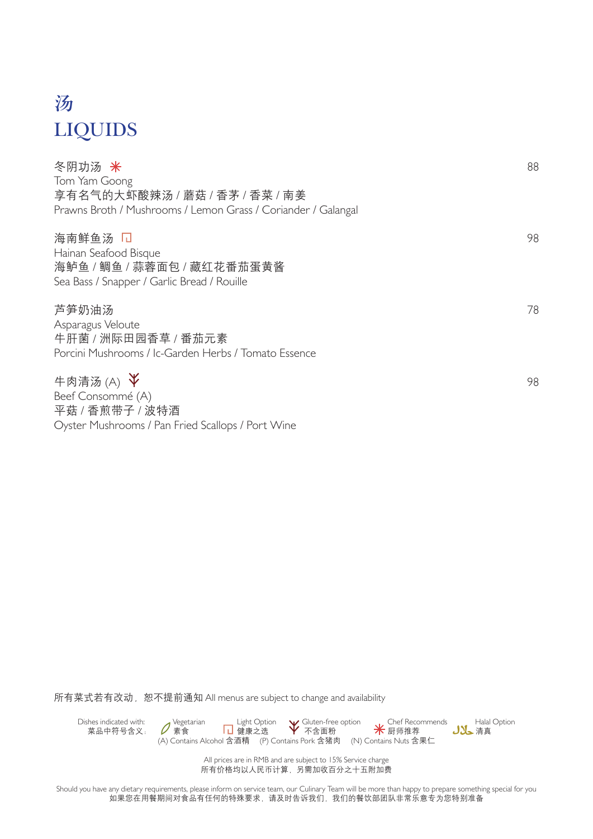# 汤 LIQUIDS

| 冬阴功汤 米                                                        | 88 |
|---------------------------------------------------------------|----|
| Tom Yam Goong                                                 |    |
| 享有名气的大虾酸辣汤 / 蘑菇 / 香茅 / 香菜 / 南姜                                |    |
| Prawns Broth / Mushrooms / Lemon Grass / Coriander / Galangal |    |
| 海南鲜鱼汤 口<br>98                                                 |    |
| Hainan Seafood Bisque                                         |    |
| 海鲈鱼 / 鲷鱼 / 蒜蓉面包 / 藏红花番茄蛋黄酱                                    |    |
| Sea Bass / Snapper / Garlic Bread / Rouille                   |    |
| 芦笋奶油汤<br>78                                                   |    |
| Asparagus Veloute                                             |    |
| 牛肝菌 / 洲际田园香草 / 番茄元素                                           |    |
| Porcini Mushrooms / Ic-Garden Herbs / Tomato Essence          |    |
| 牛肉清汤(A) $\check{\mathsf{Y}}$<br>98                            |    |
| Beef Consommé (A)                                             |    |
| 平菇 / 香煎带子 / 波特酒                                               |    |
| Oyster Mushrooms / Pan Fried Scallops / Port Wine             |    |

所有菜式若有改动, 恕不提前通知 All menus are subject to change and availability



All prices are in RMB and are subject to 15% Service charge 所有价格均以人民币计算,另需加收百分之十五附加费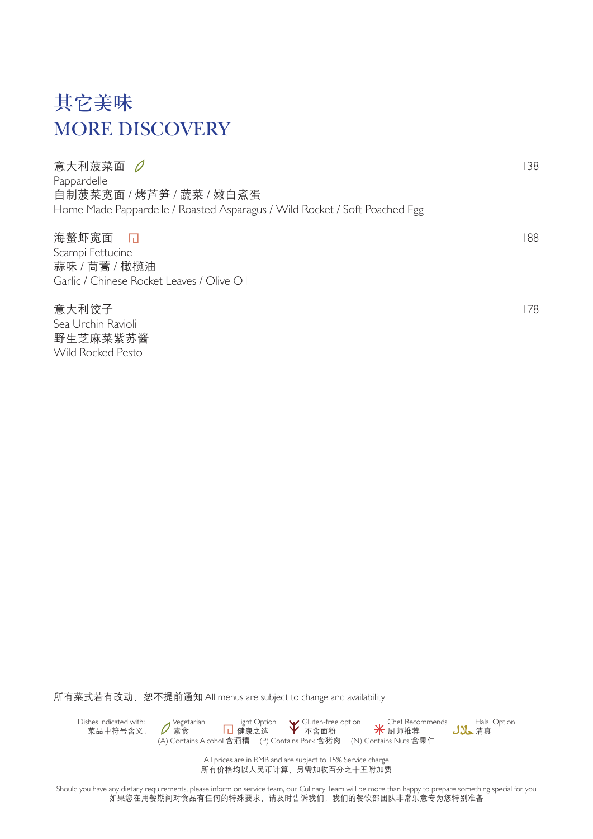# 其它美味 MORE DISCOVERY

Wild Rocked Pesto

| 意大利菠菜面 0                                                                   | 138 |
|----------------------------------------------------------------------------|-----|
| Pappardelle                                                                |     |
| 自制菠菜宽面 / 烤芦笋 / 蔬菜 / 嫩白煮蛋                                                   |     |
| Home Made Pappardelle / Roasted Asparagus / Wild Rocket / Soft Poached Egg |     |
| 海螯虾宽面 口                                                                    | 188 |
| Scampi Fettucine                                                           |     |
| 蒜味 / 茼蒿 / 橄榄油                                                              |     |
| Garlic / Chinese Rocket Leaves / Olive Oil                                 |     |
| 意大利饺子                                                                      | 178 |
| Sea Urchin Ravioli                                                         |     |
| 野生芝麻菜紫苏酱                                                                   |     |

所有菜式若有改动, 恕不提前通知 All menus are subject to change and availability



All prices are in RMB and are subject to 15% Service charge 所有价格均以人民币计算,另需加收百分之十五附加费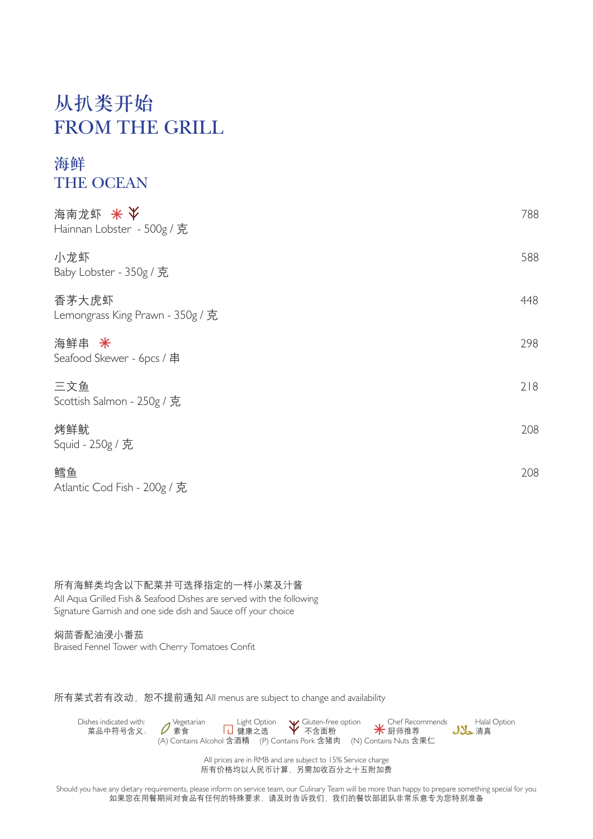### 从扒类开始 FROM THE GRILL

 $\mathcal{L}$ 

#### 海鲜 THE OCEAN

| 海南龙虾 米<br>Hainnan Lobster - 500g / 克      | 788 |
|-------------------------------------------|-----|
| 小龙虾<br>Baby Lobster - 350g / 克            | 588 |
| 香茅大虎虾<br>Lemongrass King Prawn - 350g / 克 | 448 |
| 海鲜串 米<br>Seafood Skewer - 6pcs / 串        | 298 |
| 三文鱼<br>Scottish Salmon - 250g / 克         | 218 |
| 烤鲜鱿<br>Squid - 250g / 克                   | 208 |
| 鳕鱼<br>Atlantic Cod Fish - 200g / 克        | 208 |

所有海鲜类均含以下配菜并可选择指定的一样小菜及汁酱 All Aqua Grilled Fish & Seafood Dishes are served with the following Signature Garnish and one side dish and Sauce off your choice

焖茴香配油浸小番茄 Braised Fennel Tower with Cherry Tomatoes Confit

所有菜式若有改动, 恕不提前通知 All menus are subject to change and availability



All prices are in RMB and are subject to 15% Service charge 所有价格均以人民币计算,另需加收百分之十五附加费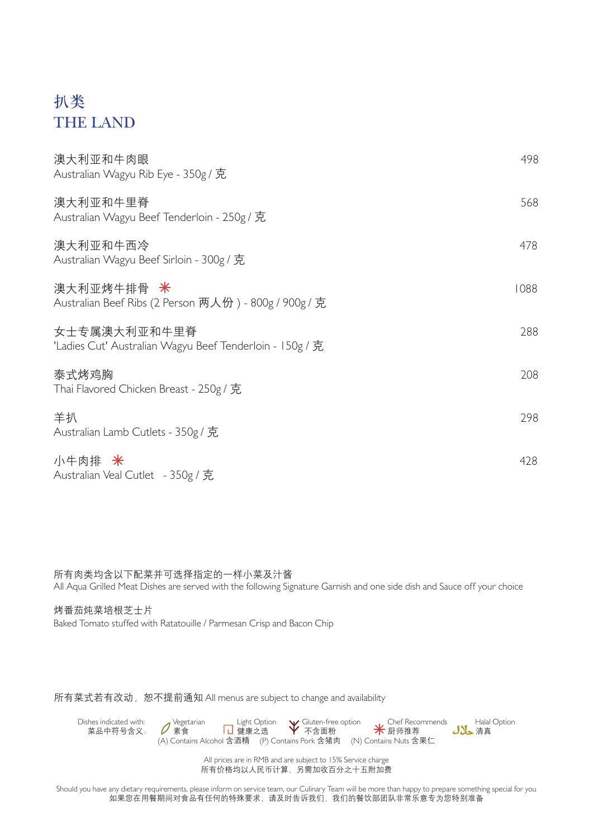### 扒类 THE LAND

| 澳大利亚和牛肉眼<br>Australian Wagyu Rib Eye - 350g / 克                          | 498  |
|--------------------------------------------------------------------------|------|
| 澳大利亚和牛里脊<br>Australian Wagyu Beef Tenderloin - 250g / 克                  | 568  |
| 澳大利亚和牛西冷<br>Australian Wagyu Beef Sirloin - 300g / 克                     | 478  |
| 澳大利亚烤牛排骨 米<br>Australian Beef Ribs (2 Person 两人份) - 800g / 900g / 克      | 1088 |
| 女士专属澳大利亚和牛里脊<br>'Ladies Cut' Australian Wagyu Beef Tenderloin - 150g / 克 | 288  |
| 泰式烤鸡胸<br>Thai Flavored Chicken Breast - 250g / 克                         | 208  |
| 羊扒<br>Australian Lamb Cutlets - 350g / 克                                 | 298  |
| 小牛肉排 米<br>Australian Veal Cutlet - 350g / 克                              | 428  |

所有肉类均含以下配菜并可选择指定的一样小菜及汁酱 All Aqua Grilled Meat Dishes are served with the following Signature Garnish and one side dish and Sauce off your choice

烤番茄炖菜培根芝士片 Baked Tomato stuffed with Ratatouille / Parmesan Crisp and Bacon Chip

所有菜式若有改动, 恕不提前通知 All menus are subject to change and availability



All prices are in RMB and are subject to 15% Service charge 所有价格均以人民币计算,另需加收百分之十五附加费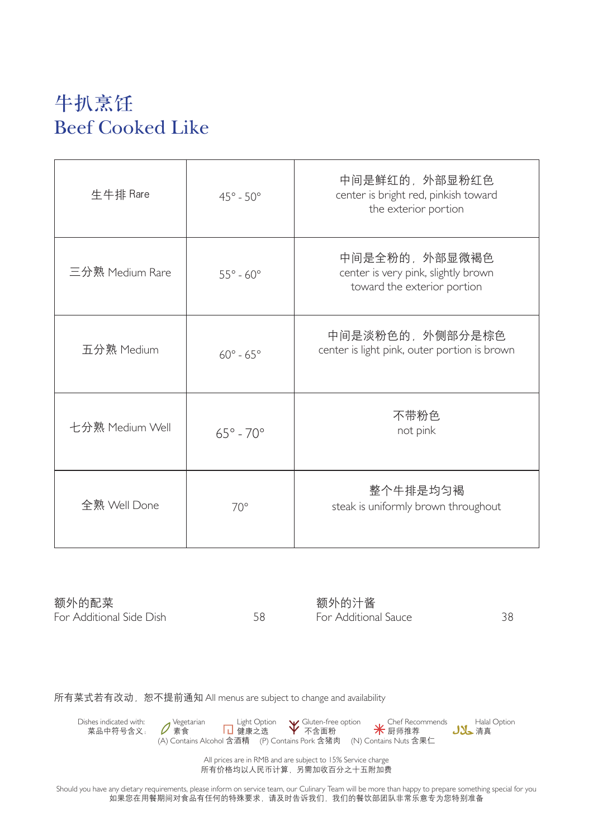## 牛扒烹饪 Beef Cooked Like

| 生牛排 Rare        | $45^\circ - 50^\circ$   | 中间是鲜红的,外部显粉红色<br>center is bright red, pinkish toward<br>the exterior portion       |
|-----------------|-------------------------|-------------------------------------------------------------------------------------|
| 三分熟 Medium Rare | $55^\circ$ - $60^\circ$ | 中间是全粉的,外部显微褐色<br>center is very pink, slightly brown<br>toward the exterior portion |
| 五分熟 Medium      | $60^\circ$ - $65^\circ$ | 中间是淡粉色的,外侧部分是棕色<br>center is light pink, outer portion is brown                     |
| 七分熟 Medium Well | $65^\circ$ - $70^\circ$ | 不带粉色<br>not pink                                                                    |
| 全熟 Well Done    | $70^{\circ}$            | 整个牛排是均匀褐<br>steak is uniformly brown throughout                                     |

额外的配菜 For Additional Side Dish 58

额外的汁酱 For Additional Sauce 38

所有菜式若有改动, 恕不提前通知 All menus are subject to change and availability



All prices are in RMB and are subject to 15% Service charge 所有价格均以人民币计算,另需加收百分之十五附加费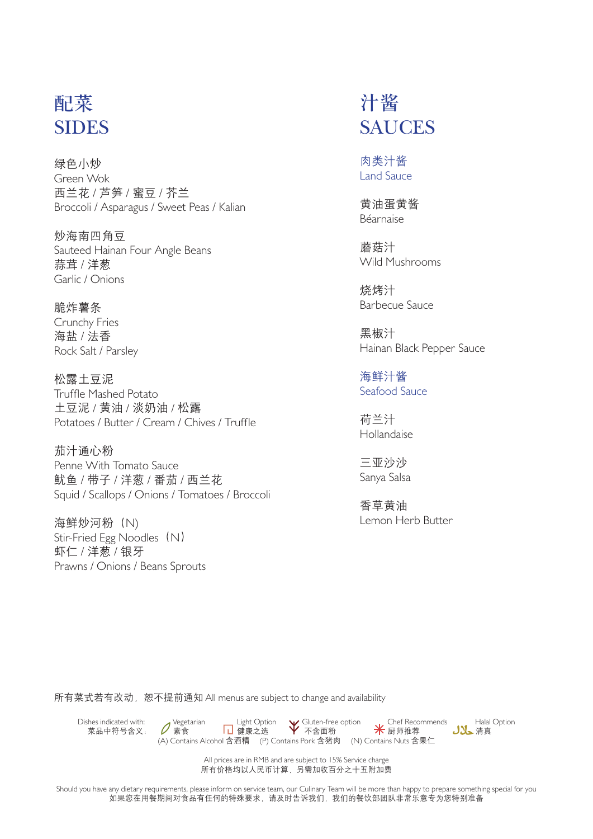### 配菜 **SIDES**

绿色小炒 Green Wok 西兰花 / 芦笋 / 蜜豆 / 芥兰 Broccoli / Asparagus / Sweet Peas / Kalian

炒海南四角豆 Sauteed Hainan Four Angle Beans 蒜茸 / 洋葱 Garlic / Onions

脆炸薯条 Crunchy Fries 海盐 / 法香 Rock Salt / Parsley

松露土豆泥 Truffle Mashed Potato 土豆泥 / 黄油 / 淡奶油 / 松露 Potatoes / Butter / Cream / Chives / Truffle

茄汁通心粉 Penne With Tomato Sauce 鱿鱼 / 带子 / 洋葱 / 番茄 / 西兰花 Squid / Scallops / Onions / Tomatoes / Broccoli

海鲜炒河粉(N) Stir-Fried Egg Noodles (N) 虾仁 / 洋葱 / 银牙 Prawns / Onions / Beans Sprouts

### 汁酱 SAUCES

肉类汁酱 Land Sauce

黄油蛋黄酱 Béarnaise

蘑菇汁 Wild Mushrooms

烧烤汁 Barbecue Sauce

黑椒汁 Hainan Black Pepper Sauce

海鲜汁酱 Seafood Sauce

荷兰汁 Hollandaise

三亚沙沙 Sanya Salsa

香草黄油 Lemon Herb Butter

所有菜式若有改动, 恕不提前通知 All menus are subject to change and availability



All prices are in RMB and are subject to 15% Service charge 所有价格均以人民币计算,另需加收百分之十五附加费